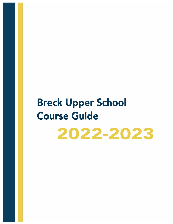# **Breck Upper School Course Guide**

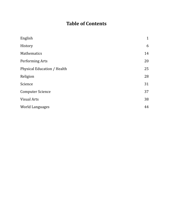### **Table of Contents**

| English                     | $\mathbf{1}$ |
|-----------------------------|--------------|
| History                     | 6            |
| Mathematics                 | 14           |
| Performing Arts             | 20           |
| Physical Education / Health | 25           |
| Religion                    | 28           |
| Science                     | 31           |
| <b>Computer Science</b>     | 37           |
| <b>Visual Arts</b>          | 38           |
| <b>World Languages</b>      | 44           |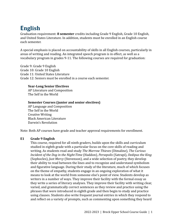# **English**

Graduation requirement: **8 semester** credits including Grade 9 English, Grade 10 English, and United States Literature. In addition, students must be enrolled in an English course each semester.

A special emphasis is placed on accountability of skills in all English courses, particularly in areas of writing and reading. An integrated speech program is in effect, as well as a vocabulary program in grades 9-11. The following courses are required for graduation:

Grade 9: Grade 9 English Grade 10: Grade 10 English Grade 11: United States Literature Grade 12: Seniors must be enrolled in a course each semester.

#### **Year-Long Senior Electives**

AP Literature and Composition The Self in the World

#### **Semester Courses (junior and senior electives)**

AP Language and Composition The Self in the World Creative Writing Black American Literature Darwin's Revolution

Note: Both AP courses have grade and teacher approval requirements for enrollment.

#### **E1 Grade 9 English**

This course, required for all ninth graders, builds upon the skills and curriculum studied in eighth grade with a particular focus on the core skills of reading and writing. As students read and study *The Marrow Thieves* (Dimaline), *The Curious Incident of the Dog in the Night-Time* (Haddon), *Persepolis* (Satrapi), *Oedipus the King* (Sophocles), *Just Mercy* (Stevenson), and a wide selection of poetry, they develop their ability to read between the lines and to recognize and understand symbolism and figurative language. During their study of the literature, much of which focuses on the theme of empathy, students engage in an ongoing exploration of what it means to look at the world from someone else's point of view. Students develop as writers in a number of ways. They improve their facility with the formal essay as they write a series of literary analyses. They improve their facility with writing clear, varied, and grammatically correct sentences as they review and practice using the phrases that were introduced in eighth grade and then begin to study and practice using clauses. Students also write frequent journal entries in which they respond to and reflect on a variety of prompts, such as commenting upon something they heard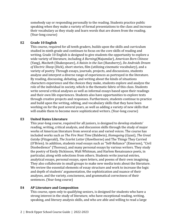somebody say or responding personally to the reading. Students practice public speaking when they make a variety of formal presentations to the class and increase their vocabulary as they study and learn words that are drawn from the reading. (Year-long course)

#### **E2 Grade 10 English**

This course, required for all tenth graders, builds upon the skills and curriculum studied in ninth grade and continues to focus on the core skills of reading and writing. Grade 10 English is designed to give students the opportunity to explore a wide variety of literature, including *A Burning*(Majumdar), *American Born Chinese* (Yang), *Macbeth* (Shakespeare), *A Raisin in the Sun* (Hansberry), *Do Androids Dream of Electric Sheep* (Dick), short stories, film (utilizing cinematic vocabulary), and a variety of poetry. Through essays, journals, projects, and discussions, students analyze and interpret a diverse range of experiences as portrayed in the literature. By reading, discussing, debating, and writing about the kinds of situations characters experience and the choices they make, students explore and analyze the role of the individual in society, which is the thematic fabric of this class. Students write several critical analyses as well as informal essays based upon their readings and their own life experiences. Students also have opportunities to explore texts through creative projects and responses. Furthermore, students continue to practice and build upon the writing, editing, and vocabulary skills that they have been working on for the past several years, as well as adding a variety of new skills that will enable them to become more sophisticated writers. (Year-long course)

#### **E3 United States Literature**

This year-long course, required for all juniors, is designed to develop students' reading, writing, critical analysis, and discussion skills through the study of major works of American literature from several eras and varied voices. The course has included works such as *The Fire Next Time* (Baldwin), *Homegoing* (Gyasi), *The Great Gatsby* (Fitzgerald), *The Scarlet Letter* (Hawthorne) and The Things They Carried (O'Brien). In addition, students read essays such as "Self-Reliance" (Emerson), "Civil Disobedience" (Thoreau), and many personal essays by various writers. They study the poetry of Emily Dickinson, Walt Whitman, and Harlem Renaissance poets, in particular, along with selections from others. Students write journal entries, analytical essays, personal essays, open letters, and poems of their own imagining. They also collaborate in small groups to make new media texts about the literature. We review the essential elements of essay structure and work to increase the logic and depth of students' argumentation, the sophistication and nuance of their analyses, and the variety, conciseness, and grammatical correctness of their sentences. (Year-long course)

#### **E4 AP Literature and Composition**

This course, open only to qualifying seniors, is designed for students who have a strong interest in the study of literature, who have exceptional reading, writing, speaking, and literary analysis skills, and who are able and willing to read a large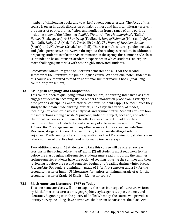number of challenging books and to write frequent, longer essays. The focus of this course is on an in-depth discussion of major authors and important literary works in the genres of poetry, drama, fiction, and nonfiction from a range of time periods, including many of the following: *Candide* (Voltaire), *The Metamorphosis* (Kafka), *Hamlet* (Shakespeare), *As I Lay Dying* (Faulkner), *Song of Solomon* (Morrison), *Refuse* (Randall), *Moby-Dick* (Melville), *Tracks* (Erdrich), *The Prime of Miss Jean Brodie* (Spark), and *250 Poems* (Schakel and Ridl). There is a multicultural, gender-inclusive and global perspective interwoven throughout the reading curriculum. In addition to preparing students to take the AP examination in the spring, this seminar-style class is intended to be an intensive academic experience in which students can explore more challenging materials with other highly motivated students.

*Prerequisite:* Minimum grade of B for first semester and a B+ for the second semester of US Literature, the junior English course. An additional note: Students in this course are required to read an additional summer reading book. (Year-long course, only for seniors)

#### **E13 AP English Language and Composition**

This course, open to qualifying juniors and seniors, is a writing-intensive class that engages students in becoming skilled readers of nonfiction prose from a variety of time periods, disciplines, and rhetorical contexts. Students apply the techniques they study to their own prose, writing journals, and essays in a variety of modes, including narrative, expository, analytical, and argumentative. Students explore how the interactions among a writer's purpose, audience, subject, occasion, and other rhetorical conventions influence the effectiveness of a text. In addition to a composition textbook, students read a variety of articles and essays from *The Atlantic Monthly* magazine and many other sources. Authors read include Toni Morrison, Margaret Atwood, Louise Erdrich, Audre Lourde, Abigail Adams, Sojourner Truth, among others. In preparation for the AP examination, students also take a number of practice tests and write many in-class essays.

Two additional notes: [1] Students who take this course will be offered review sessions in the spring before the AP exam; [2] All students must read *Born to Run* before the class begins. Fall-semester students must read this during the summer; spring-semester students have the option of reading it during the summer and then reviewing it before the second semester begins, or of reading during winter break. *Prerequisite:* For seniors, a minimum grade of B for first semester and a B+ for the second semester of Junior US Literature; for juniors, a minimum grade of A- for the second semester of Grade 10 English. (Semester course)

#### **E25 Black American Literature: 1767 to Today**

This one-semester class will aim to explore the massive scope of literature written by Black Americans across time, geographies, styles, genres, topics, themes, and identities. Beginning with the poetry of Phillis Wheatley, the course will provide a literary survey including slave narratives, the Harlem Renaissance, the Black Arts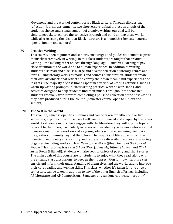Movement, and the work of contemporary Black writers. Through discussion, reflection, journal assignments, two short essays, a final project on a topic of the student's choice, and a small amount of creative writing, our goal will be, simultaneously, to explore the collective strength and bond among these works while also resisting the idea that Black literature is a monolith. (Semester course, open to juniors and seniors)

#### **E9 Creative Writing**

This course, open to juniors and seniors, encourages and guides students to express themselves creatively in writing. In this class students are taught that creative writing—the making of art objects through language — involves learning to pay close attention to the world and to human experience. In addition to writing, students also read and discuss a large and diverse selection of literary genres and forms. Using literary works as models and sources of inspiration, students create their own art objects that reflect and convey their own meaningful experiences and insights. The majority of class time is spent in a variety of writing activities, such as warm-up writing prompts, in-class writing practice, writer's workshops, and activities designed to help students find their muse. Throughout the semester students gradually work toward completing a polished collection of the best writing they have produced during the course. (Semester course, open to juniors and seniors)

#### **E20 The Self in the World**

This course, which is open to all seniors and can be taken for either one or two semesters, explores how our sense of self can be influenced and shaped by the larger world. As students in this class engage with the literature, they will explore topics relevant to their lives, particularly in terms of their identity as seniors who are about to make a major life transition and as young adults who are becoming members of the greater community beyond the school. The majority of literature is from the twentieth and twenty-first century and represents a diversity of voices and a variety of genres, including works such as *News of the World* (Jiles), *Heads of the Colored Peopl*e (Thompson-Spires), *Old School* (Wolf), *Bless Me, Ultima* (Anaya) and *Black Swan Green* (Mitchell). Students will also read a variety of poetry and short stories. The main goals of this course are for students to enjoy what they read, along with the ensuing class discussions, to deepen their appreciation for how literature can enrich and inform their understanding of themselves and the world, and to improve their core reading and writing skills. This class, whether it's taken for one or two semesters, can be taken in addition to any of the other English offerings, including AP Literature and AP Composition. (Semester or year-long course, seniors only)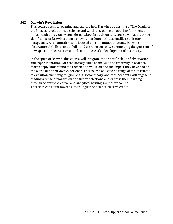#### **S42 Darwin's Revolution**

This course seeks to examine and explore how Darwin's publishing of The Origin of the Species revolutionized science and writing- creating an opening for others to broach topics previously considered taboo. In addition, this course will address the significance of Darwin's theory of evolution from both a scientific and literary perspective. As a naturalist, who focused on comparative anatomy, Darwin's observational skills, artistic skills, and extreme curiosity surrounding the question of how species arise, were essential to the successful development of his theory.

In the spirit of Darwin, this course will integrate the scientific skills of observation and experimentation with the literary skills of analysis and creativity in order to more deeply understand the theories of evolution and the impact they have had on the world and their own experience. This course will cover a range of topics related to evolution, including religion, class, social theory, and race. Students will engage in reading a range of nonfiction and fiction selections and express their learning through scientific, creative, and analytical writing. (Semester course) This class can count toward either English or Science elective credit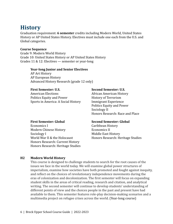### <span id="page-8-0"></span>**History**

Graduation requirement: **6 semester** credits including Modern World, United States History or AP United States History. Electives must include one each from the U.S. and Global categories.

#### **Course Sequence**

Grade 9: Modern World History Grade 10: United States History or AP United States History Grades 11 & 12: Electives — semester or year-long

#### **Year-long Junior and Senior Electives**

AP Art History AP European History Advanced History Research (grade 12 only)

American Elections **African American History** Politics Equity and Power History of Terrorism Sports in America: A Social History Immigrant Experience

#### **First Semester: U.S. Second Semester: U.S.**

Politics Equity and Power Sociology II Honors Research: Race and Place

Economics I Caribbean History Modern Chinese History **Economics II** Sociology I Middle East History World War II & the Holocaust **Honors Research: Heritage Studies** Honors Research: Current History Honors Research: Heritage Studies

#### **First Semester: Global Second Semester: Global**

#### **H2 Modern World History**

This course is designed to challenge students to search for the root causes of the issues we face in the world today. We will examine global power structures of imperialism, examine how societies have both promoted and fought against inequity, and reflect on the choices of revolutionary independence movements during the eras of colonization and decolonization. The first semester will focus on expanding student skills in the areas of critical reading, research and citation, and analytical writing. The second semester will continue to develop students' understanding of different points of view and the choices people in the past and present have had available to them. This semester features role-play decision-making scenarios and a multimedia project on refugee crises across the world. (Year-long course)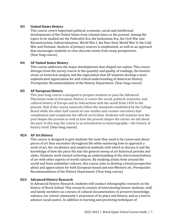#### **H3 United States History**

This course covers important political, economic, social and intellectual developments of the United States from colonial times to the present. Among the topics to be studied are the Federalist Era, the Jacksonian Era, the Civil War and Reconstruction, Industrialization, World War I, the New Deal, World War II, the Cold War and Vietnam. Analysis of primary sources is emphasized, as well as an approach that encourages students to view discrete events from many perspectives. (Year-long course)

#### **H4 AP United States History**

This course addresses the major developments that shaped our nation. This course diverges from the survey course in the quantity and quality of readings, the heavier stress on historical analysis and the expectation that AP students develop a more sophisticated appreciation for and critical understanding of American History. *Prerequisite:* Recommendation of the History Department. (Year-long course)

#### **H5 AP European History**

This year-long course is designed to prepare students to pass the Advanced Placement exam in European History. It covers the social, political, economic, and cultural history of Europe and its interactions with the world from 1450 to the present. Half of the course materials follow the standards established by the College Board while the other half consist of case studies and counter-narratives that complement and complicate the official curriculum. Students will examine how the past shapes the present as well as how the present shapes the stories we tell about the past. In this way, the course is an introduction to historiography—the history of history itself. (Year-long course)

#### **H24 AP Art History**

This course is designed to give students the tools they need to be conversant about pieces of art they encounter throughout life while mastering how to approach a work of art, the vocabulary and analytical methods with which to discuss it and the knowledge of how the piece fits into the general sweep of art historical periods and styles. Students work toward achieving an understanding of the interconnectedness of art with other aspects of world cultures. By studying artists from around the world and from unfamiliar cultures, this course aims to develop a broad perspective about and appreciation for both European-based and non-Western art. *Prerequisite:* Recommendation of the History Department. (Year-long course)

#### **H23 Advanced History Research**

In Advanced History Research, students will conduct ethnographic research on the history of Breck School. This research consists of interviewing former students, staff, and family members as a means of cultural documentation, to preserve knowledge, enhance our school community's awareness of its place and history, and as a tool to advance social justice. In addition to learning and practicing techniques of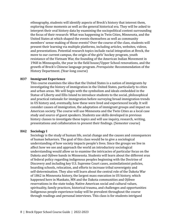ethnography, students will identify aspects of Breck's history that interest them, exploring those moments as well as the general historical era. They will be asked to interpret their oral history data by examining the sociopolitical context surrounding the focus of their research: What was happening in Twin Cities, Minnesota, and the United States at which shaped the events themselves as well as community members' sense-making of those events? Over the course of the class, students will present their learning via multiple platforms, including articles, websites, videos, and presentations. Potential research topics include racial integration at Breck, the move to our current campus, the origin of the girls' hockey program, youth resistance of the Vietnam War, the founding of the American Indian Movement in 1968 in Minneapolis, the year in the field house/Upper School renovations, and the growth of Breck's Chinese language program. *Prerequisite:* Recommendation of the History Department. (Year-long course)

#### **H37 Immigrant Experience**

This course examines the idea that the United States is a nation of immigrants by investigating the history of immigration in the United States, particularly to cities and urban areas. We will begin with the symbolism and ideals embedded in the Statue of Liberty and Ellis Island to introduce students to the social, philosophical and practical rationale for immigration before surveying broad immigration trends in US history and, eventually, how these were lived and experienced locally. It will consider causes of immigration, the adaptation of immigrant groups and impact on American society. The course will use Minnesota and the Twin Cities as a local case study and source of guest speakers. Students use skills developed in previous history classes to investigate these topics and will use inquiry, research, writing, presentations and collaboration to present their findings. (Semester course)

#### **H42 Sociology I**

Sociology is the study of human life, social change and the causes and consequences of human behaviors. The goal of this class would be to give a sociological understanding of how society impacts people's lives. Since the groups we live in affect how we see and approach the world an introductory sociological understanding would allow us to examine the intricacies of particular focus on the Dakota and Ojibwe bands in Minnesota. Students will learn about the different eras of federal policy regarding indigenous peoples beginning with the Doctrine of Discovery and including key U.S. Supreme Court cases, assimilationist policies, boarding schools, relocation, and efforts to increase tribal sovereignty and self-determination. They also will learn about the central role of the Dakota War of 1862 in Minnesota history, the largest mass execution in US history, which happened here in Mankato, MN and the Dakota communities and Ojibwe reservations in the state today. Native American social and cultural values, spirituality, family practices, historical trauma, and challenges and opportunities Indigenous people experience today will be prevalent throughout the course through readings and personal interviews. This class is for students intrigued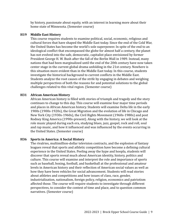by history, passionate about equity, with an interest in learning more about their home state of Minnesota. (Semester course)

#### **H19 Middle East History**

This course requires students to examine political, social, economic, religious and cultural forces that have shaped the Middle East today. Since the end of the Cold War, the United States has become the world's sole superpower. In spite of the end to an ideological conflict that encompassed the globe for almost half a century, the planet has not evolved into the safe, democratic, capitalist place envisioned by former President George H. W. Bush after the fall of the Berlin Wall in 1989. Instead, many nations that had been marginalized until the end of the 20th century have now taken center stage in the current global drama unfolding in the 21st century. Nowhere is this situation more evident than in the Middle East today. In this course, students investigate the historical background to current conflicts in the Middle East. Students analyze the root causes of the strife by engaging in debates and weighing multiple perspectives of both the reasons for and potential solutions to the global challenges related to this vital region. (Semester course)

#### **H31 African American History**

African American history is filled with stories of triumph and tragedy and the story continues to change to this day. This course will examine four major time periods and places in African American history. Students will examine Delta life in the early 1900s (1900s-1920s), the Great Migration and the evolution of life in Chicago and New York City (1930s-1960s), the Civil Rights Movement (1960s-1980s) and post Rodney King America (1990s-present). Along with the history, we will look at the role music played during each era, studying blues, jazz, gospel, rock and roll, soul and rap music, and how it influenced and was influenced by the events occurring in the United States. (Semester course)

#### **H36 Sports in America: A Social History**

The rivalries, multimillion-dollar television contracts, and the explosion of fantasy leagues reveal that sports and athletic competition have become a defining cultural experience in the United States. Peeling away the hype and hoopla, students will discover that sports reveal much about American identity, history, politics and culture. This course will examine and interpret the role and importance of sports such as baseball, boxing, football, and basketball at the professional and amateur levels in American history and their reflection of American social values as well as how they have been vehicles for social advancement. Students will read stories about athletes and competitions and how issues of class, race, gender, industrialization, nationalism, foreign policy, religion, economics and patriotism affected those. The course will require students to investigate through different perspectives, to consider the context of time and place, and to question common narratives. (Semester course)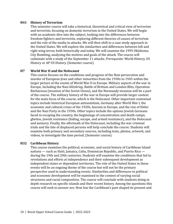#### **H41 History of Terrorism**

This semester course will take a historical, theoretical and critical view of terrorism and terrorists, focusing on domestic terrorism in the United States. We will begin with an academic dive into the subject, looking into the differences between freedom fighters and terrorists, exploring different theories of causes of terrorism and the role of the media in attacks. We will then shift to a case study approach in the United States. We will explore the similarities and differences between left and right wing terror, both historically and today. We will examine the 1995 Oklahoma City Bombing, analyzing the motives and goals of the attack. The course will culminate with a study of the September 11 attacks. *Prerequisite:* World History, US History or AP US History. (Semester course)

#### **H7 World War II and the Holocaust**

This course focuses on the conditions and progress of the Nazi persecution and murder of European Jews and other minorities from the 1930s to 1945 within the larger picture of the events of World War II in Europe. Military aspects of the war in Europe, including the Nazi *blitzkrieg,* Battle of Brittain and London Blitz, Operation Barbarossa (invasion of the Soviet Union), and the Normandy invasion will be a part of the course. The military history of the war in Europe will provide larger context for the main focus of the course, which is the Holocaust. Other important contextual topics include historical European antisemitism, Germany after World War I, the economic and cultural crises of the 1920s, fascism in Europe, and the rise of Hitler and the Nazi Party in the 1930s. Other topics include the options Jewish Germans faced in escaping the country, the beginnings of concentration and death camps, ghettos, Jewish resistance (hiding, escape, and armed resistance), and the Holocaust and memory. Finally, the aftermath of the Holocaust, including the war criminal trials and the fate of displaced persons will help conclude the course. Students will examine both primary and secondary sources, including texts, photos, artwork, and videos, to investigate the time period. (Semester course)

#### **H32 Caribbean History**

This course examines the political, economic, and social history of Caribbean Island nations — such as Haiti, Jamaica, Cuba, Dominican Republic, and Puerto Rico during the 19th and 20th centuries. Students will examine the conditions that led to revolutions and efforts at independence and their subsequent development as independent states or dependent territories. The role of the United States in these events will be an ongoing theme of the course but will not be the primary perspective used in understanding events. Similarities and differences in political and economic development will be examined in the context of varying social structures and racial composition. The course will conclude with students doing in depth research on specific islands and their recent history. Among the questions this course will seek to answer are: How has the Caribbean's past shaped its present and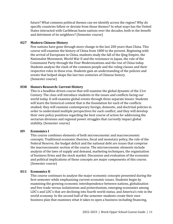future? What common political themes can we identify across the region? Why do specific countries follow or deviate from those themes? In what ways has the United States interacted with Caribbean basin nations over the decades, both to the benefit and detriment of its neighbors? (Semester course)

#### **H27 Modern Chinese History**

Few nations have gone through more change in the last 200 years than China. This course will examine the history of China from 1800 to the present. Beginning with the arrival of Europeans in China, students study the fall of the Qing Empire, the Nationalist Movement, World War II and the resistance to Japan, the rule of the Communist Party through the Four Modernizations and the rise of China today. Students analyze the clash of the common people and the ruling classes and their respective roles in these eras. Students gain an understanding of the policies and events that helped shape the last two centuries of Chinese history. (Semester course)

#### **H38 Honors Research: Current History**

This is a headline driven course that will examine the global dynamic of the 21st Century. The class will introduce students to the issues and conflicts facing our world today. It will examine global events through three separate lenses: Students will learn the historical context that is the foundation for each of the conflicts studied; they will examine contemporary foreign, domestic, and doctrinal policies in order to understand multiple perspectives for each conflict; and they will develop their own policy positions regarding the best course of action for addressing the sectarian divisions and regional power struggles that currently impact global stability. (Semester course)

#### **H9 Economics I**

This course combines elements of both microeconomic and macroeconomic concepts. Traditional economic theories, fiscal and monetary policy, the role of the Federal Reserve, the budget deficit and the national debt are issues that comprise the macroeconomic section of the course. The microeconomic elements include analysis of the laws of supply and demand, marketing techniques, the organization of business firms and the stock market. Discussion and evaluation of the economic and political implications of these concepts are major components of this course. (Semester course)

#### **H11 Economics II**

This course continues to analyze the major economic concepts presented during the first semester while emphasizing current economic issues. Students begin by examining the growing economic interdependence between nations, globalization and free trade versus isolationism and protectionism, emerging economies among LDC's and LDC's that are declining into fourth world status, and America's role in the world economy. In the second half of the semester students create their own business plan that examines what it takes to open a business including financing,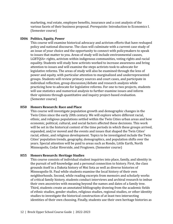marketing, real estate, employee benefits, insurance and a cost analysis of the various facets of their business proposal. *Prerequisite:* Introduction to Economics I. (Semester course)

#### **ID06 Politics, Equity, Power**

This course will examine historical advocacy and activism efforts that have reshaped policy and national discourse. The class will culminate with a current case study of an issue of your choice and the opportunity to connect with policymakers to speak to issues that matter to you. Areas of study will include environmental causes, LGBTQIA+ rights, activism within indigenous communities, voting rights and racial equality. Students will study how activists worked to increase awareness and bring attention to issues and will examine the steps activists took to advocate for legislative reforms. The areas of study will also be examined through the lens of power and equity, with particular attention to marginalized and underrepresented groups. Students will review primary sources and court cases, and participate in individual reflection, group discussion/debate and research analysis while practicing how to advocate for legislative reforms. For one to two projects, students will use statistics and numerical analysis to further examine issues and inform their opinions through quantitative and inquiry project-based evaluation. (Semester course)

#### **H50 Honors Research: Race and Place**

This course will investigate population growth and demographic changes in the Twin Cities since the early 20th century. We will explore where different racial, ethnic, and religious populations settled within the Twin Cities urban areas and how economic, political, cultural, and social factors affected these decisions. This work will be set in the historical context of the time periods in which these groups arrived, expanded, and/or moved and the events and issues that shaped the Twin Cities' racial, ethnic, and religious development. Topics to be investigated include the Twin Cities' population trends, geography, demographics, and population shifts over the years. Special attention will be paid to areas such as Rondo, Little Earth, North Minneapolis, Cedar Riverside, and Frogtown. (Semester course)

#### **H55 Honors Research: Heritage Studies**

This course consists of individual student inquiries into place, family, and identity in the pursuit of self-knowledge and a personal connection to history. First, the class grounds itself in a Dakota history of Mni Sota as well as diverse histories of Minneapolis-St. Paul while students examine the local history of their own neighborhoods. Second, while reading excerpts from memoirs and scholarly works of critical family history, students conduct interviews and archival research to imbue their own ancestries with meaning beyond the names and dates of a family tree. Third, students create an annotated bibliography drawing from the academic fields of ethnic studies, gender studies, religious studies, regional studies, or other identity studies to investigate the historical construction of at least two intersecting identities of their own choosing. Finally, students use their own heritage histories as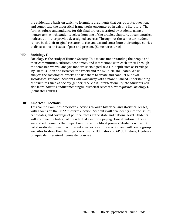the evidentiary basis on which to formulate arguments that corroborate, question, and complicate the theoretical frameworks encountered in existing literature. The format, rubric, and audience for this final project is crafted by students using a mentor text, which students select from one of the articles, chapters, documentaries, podcasts, or other previously assigned sources. Throughout the semester, students report-back their original research to classmates and contribute their unique stories to discussions on issues of past and present. (Semester course)

#### **H54 Sociology II**

Sociology is the study of Human Society. This means understanding the people and their communities, cultures, economies, and interactions with each other. Through the semester, we will analyze modern sociological texts in-depth such as Privilege by Shamus Khan and Between the World and Me by Ta-Neishi Coates. We will analyze the sociological works and use them to create and conduct our own sociological research. Students will walk away with a more nuanced understanding of structures such as society, gender, race, class, intersectionality, etc. Students will also learn how to conduct meaningful historical research. *Prerequisite:* Sociology I. (Semester course)

#### **ID01 American Elections**

<span id="page-15-0"></span>This course examines American elections through historical and statistical lenses, with a focus on the 2022 midterm election. Students will dive deeply into the issues, candidates, and coverage of political races at the state and national level. Students will examine the history of presidential elections, paying close attention to those watershed moments that impact our current political process. Students will work collaboratively to see how different sources cover the election and will create group websites to show their findings. *Prerequisite:* US History or AP US History; Algebra 2 or equivalent required. (Semester course)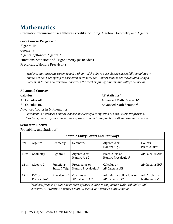### **Mathematics**

Graduation requirement: **6 semester credits** including: Algebra I, Geometry and Algebra II

#### **Core Course Progression**

Algebra 1B Geometry Algebra 2/Honors Algebra 2 Functions, Statistics and Trigonometry (as needed) Precalculus/Honors Precalculus

*Students may enter the Upper School with any of the above Core Classes successfully completed in Middle School. Each spring the selection of Honors/non-Honors courses are reevaluated using a placement test and conversations between the teacher, family, advisor, and college counselor.*

#### **Advanced Courses**

| Calculus       | AP Statistics*          |
|----------------|-------------------------|
| AP Calculus AB | Advanced Math Research* |
| AP Calculus BC | Advanced Math Seminar*  |
|                |                         |

Advanced Topics in Mathematics

*Placement in Advanced Courses is based on successful completion of Core Course Progression. \*Students frequently take one or more of these courses in conjunction with another math course.*

#### **Semester Elective**

Probability and Statistics\*

| <b>Sample Entry Points and Pathways</b> |                        |                             |                                       |                                                   |                                           |  |
|-----------------------------------------|------------------------|-----------------------------|---------------------------------------|---------------------------------------------------|-------------------------------------------|--|
| 9th                                     | Algebra 1B             | Geometry                    | Geometry                              | Algebra 2 or<br>Honors Alg 2                      | <b>Honors</b><br>Precalculus <sup>*</sup> |  |
| 10th                                    | Geometry               | Algebra 2                   | Algebra 2 or<br>Honors Alg 2          | Precalculus or<br>Honors Precalculus <sup>*</sup> | $AP$ Calculus $AB^*$                      |  |
| $\vert$ 11th                            | Algebra 2              | Functions,<br>Stats, & Trig | Precalculus or<br>Honors Precalculus* | Calculus or<br>AP Calculus AB*                    | AP Calculus BC*                           |  |
| 12 <sub>th</sub>                        | FST or<br>Precalculus* | Precalculus*                | Calculus or<br>AP Calculus AB*        | Adv. Math Applications or<br>AP Calculus BC*      | Adv. Topics in<br>Mathematics*            |  |

*\*Students frequently take one or more of these courses in conjunction with Probability and Statistics, AP Statistics, Advanced Math Research, or Advanced Math Seminar*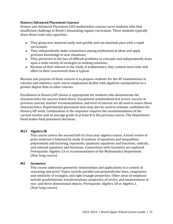#### **Honors/Advanced Placement Courses**

Honors and Advanced Placement (AP) mathematics courses serve students who find insufficient challenge in Breck's demanding regular curriculum. These students typically share these traits and capacities:

- They grasp new material easily and quickly and can maintain pace with a rapid curriculum;
- They independently make connections among mathematical ideas and apply previous knowledge to new situations;
- They persevere in the face of difficult problems or concepts and independently draw upon a wide variety of strategies in seeking solutions;
- Because of their interest in the study of mathematics, they commit more time and effort to their coursework than is typical.

Because one purpose of these courses is to prepare students for the AP examinations in calculus and statistics, each course emphasizes facility with algebraic manipulation to a greater degree than in other courses.

Enrollment in Honors/AP classes is appropriate for students who demonstrate the characteristics for success listed above. Exceptional standardized test scores, success in previous courses, teacher recommendation, and level of interest are all used to assess these characteristics. Departmental placement tests may also be used to evaluate candidates for Honors/AP work. Continuation in the sequence requires the recommendation of the current teacher and an average grade of at least B in the previous course. The Department Head makes final placement decisions.

#### **M23 Algebra IB**

This course covers the second half of a first-year algebra course. A brief review of prior material is followed by study of systems of equations and inequalities, polynomials and factoring, exponents, quadratic equations and functions, radicals, and rational equations and functions. Connections with Geometry are explored. *Prerequisite:* Algebra 1A or recommendation of the Mathematics Department. (Year-long course)

#### **M2 Geometry**

This course addresses geometric relationships and applications in a context of reasoning and proof. Topics include parallel and perpendicular lines, congruence and similarity of triangles, and right triangle properties. Other areas of emphasis include quadrilaterals, transformations, properties of circles, and measurement of two- and three-dimensional objects. *Prerequisite:* Algebra 1B or Algebra 1. (Year-long course)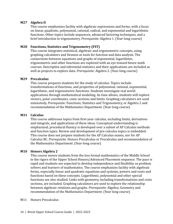#### **M27 Algebra II**

This course emphasizes facility with algebraic expressions and forms, with a focus on linear, quadratic, polynomial, rational, radical, and exponential and logarithmic functions. Other topics include sequences, advanced factoring techniques, and a brief introduction to trigonometry. *Prerequisite:* Algebra 1. (Year-long course)

#### **M28 Functions, Statistics and Trigonometry (FST)**

This course integrates statistical, algebraic and trigonometric concepts, using graphing calculators and Desmos as tools for function and data analysis. The connections between equations and graphs of exponential, logarithmic, trigonometric and other functions are explored with an eye toward future math courses. Descriptive and inferential statistics and their applications are included as well as projects to explore data. *Prerequisite:* Algebra 2. (Year-long course)

#### **M29 Precalculus**

This course prepares students for the study of calculus. Topics include transformations of functions, and properties of polynomial, rational, exponential, logarithmic, and trigonometric functions. Students investigate real world applications through mathematical modeling. As time allows, students will explore vectors, polar coordinates, conic sections and limits. Graphing calculators are used extensively. *Prerequisite:* Functions, Statistics and Trigonometry, or Algebra 2 and recommendation of the Mathematics Department. (Year-long course)

#### **M31 Calculus**

This course addresses topics from first-year calculus, including limits, derivatives and integrals, and applications of these ideas. Conceptual understanding is emphasized; procedural fluency is developed over a subset of AP Calculus methods and function types. Review and development of pre-calculus topics is embedded. This course does not prepare students for the AP Calculus exams, nor for AP Calculus BC. *Prerequisite:* Honors Precalculus or Precalculus and recommendation of the Mathematics Department. (Year-long course)

#### **M10 Honors Algebra 2**

This course moves students from the less formal mathematics of the Middle School to the rigors of the Upper School Honors/Advanced Placement sequence. The pace is rapid and students are expected to develop independence and flexibility as problem solvers and learners of mathematics. The course emphasizes facility with algebraic forms, especially linear and quadratic equations and systems, powers and roots and functions based on these concepts. Logarithmic, polynomial and other special functions are also studied. Links with geometry, including transformations and conic sections, are included. Graphing calculators are used to explore the relationship between algebraic relations and graphs. *Prerequisite:* Algebra, Geometry and recommendation of the Mathematics Department. (Year-long course)

#### M11 Honors Precalculus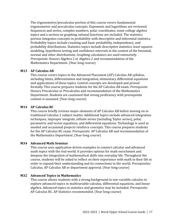The trigonometry/precalculus portion of this course covers fundamental trigonometric and precalculus concepts. Exponents and logarithms are reviewed. Sequences and series, complex numbers, polar coordinates, some college algebra topics and a section on graphing rational functions are included. The statistics portion integrates concepts in probability with descriptive and inferential statistics. Probability topics include counting and basic probability, independence, and probability distributions. Statistics topics include descriptive statistics, least-squares modeling, hypothesis testing and confidence intervals in the context of the binomial, normal and other distributions. Graphing calculators are used extensively. *Prerequisite:* Honors Algebra 2 or Algebra 2 and recommendation of the Mathematics Department. (Year-long course)

#### **M13 AP Calculus AB**

This course covers topics in the Advanced Placement (AP) Calculus AB syllabus, including limits, differentiation and integration, elementary differential equations and applications of these topics. Central concepts are developed and proved formally. This course prepares students for the AP Calculus AB exam. *Prerequisite:* Honors Precalculus or Precalculus and recommendation of the Mathematics Department. Students are cautioned that strong proficiency with prerequisite content is assumed. (Year-long course)

#### **M14 AP Calculus BC**

This course briefly reviews major elements of AP Calculus AB before moving on to traditional Calculus 2 subject matter. Additional topics include advanced integration techniques, improper integrals, infinite series (including Taylor series), polar, parametric and vector equations, and differential equations. Technology is used as needed and occasional projects reinforce concepts. This course prepares students for the AP Calculus BC exam. *Prerequisite:* AP Calculus AB and recommendation of the Mathematics Department. (Year-long course)

#### **M34 Advanced Math Seminar**

This course uses application-driven examples to connect calculus and advanced math topics with the real world. It provides options for math enrichment and deepens the integration of mathematical skills into everyday life. Throughout the course, students will be asked to reflect on their experience with math in their life in order to expand their understanding and its connections to the world. *Prerequisites:* Calculus, AP Calculus AB or department approval. (Year-long course)

#### **M32 Advanced Topics in Mathematics**

This course allows students with a strong background in one-variable calculus to explore advanced topics in multivariable calculus, differential equations, and linear algebra. Advanced topics in statistics and geometry may be included. *Prerequisite:* AP Calculus BC. AP Statistics recommended. (Year-long course)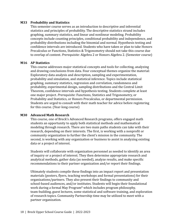#### **M33 Probability and Statistics**

This semester course serves as an introduction to descriptive and inferential statistics and principles of probability. The descriptive statistics strand includes graphing, summary statistics, and linear and nonlinear modeling. Probability concepts include counting principles, conditional probability and independence, and probability distributions including the binomial and normal. Hypothesis testing and confidence intervals are introduced. Students who have taken or plan to take Honors Precalculus or Functions, Statistics & Trigonometry should not take this course due to overlap of content. *Prerequisite:* Algebra 2 or Honors Algebra 2. (Semester course)

#### **M16 AP Statistics**

This course addresses major statistical concepts and tools for collecting, analyzing and drawing conclusions from data. Four conceptual themes organize the material: Exploratory data analysis and description, sampling and experimentation, probability and simulation, and statistical inference. Topics include statistical graphing, summary statistics, regression and correlation, randomness and probability, experimental design, sampling distributions and the Central Limit Theorem, confidence intervals and hypothesis testing. Students complete at least one major project. *Prerequisite:* Functions, Statistics and Trigonometry, or Probability and Statistics, or Honors Precalculus, or departmental permission. Students are urged to consult with their math teacher for advice before registering for this course. (Year-long course)

#### **M30 Advanced Math Research**

This course, one of Breck's Advanced Research programs, offers engaged math students an opportunity to apply both statistical methods and mathematical modeling through research. There are two main paths students can take with their research, depending on their interests. The first, is working with a nonprofit or community organization to further the client's mission in the community. The second, is working with any organization or business to assist in analyzing existing data or a project of interest.

Students will collaborate with organization personnel as needed to identify an area of inquiry or a project of interest. They then determine appropriate research and analytical methods, gather data (as needed), analyze results, and make specific recommendations to their partner organization and/or report their findings.

Ultimately students compile these findings into an impact report and presentation materials (posters, flyers, teaching workshops and formal presentations) for their organizations/partners. They also present their findings to community and school-based audiences, and/or institutes. Students will begin their foundational work during a formal May Program\* which includes program philosophy, team-building, guest lectures, some statistical and software training, and exploration of research topics. Community Partnership time may be utilized to meet with a partner organization.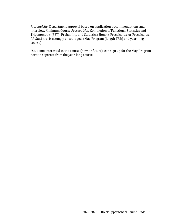*Prerequisite:* Department approval based on application, recommendations and interview. Minimum Course *Prerequisite:* Completion of Functions, Statistics and Trigonometry (FST); Probability and Statistics; Honors Precalculus, or Precalculus. AP Statistics is strongly encouraged. (May Program [length TBD] and year-long course)

\*Students interested in the course (now or future), can sign up for the May Program portion separate from the year-long course.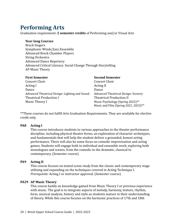### **Performing Arts**

Graduation requirement: **2 semester credits** of Performing and/or Visual Arts

#### **Year-long Courses**

Breck Singers Symphonic Winds/Jazz Ensemble Advanced Breck Chamber Players String Orchestra Advanced Dance Repertory Advanced Critical Literacy: Social Change Through Storytelling AP Music Theory

| <b>First Semester</b>                          | <b>Second Semester</b>                       |
|------------------------------------------------|----------------------------------------------|
| Concert Choir                                  | Concert Choir                                |
| Acting I                                       | <b>Acting II</b>                             |
| Dance                                          | Dance                                        |
| Advanced Theatrical Design: Lighting and Sound | <b>Advanced Theatrical Design: Scenery</b>   |
| <b>Theatrical Production I</b>                 | <b>Theatrical Production II</b>              |
| Music Theory I                                 | Music Psychology (Spring 2022) <sup>**</sup> |
|                                                | Music and Film (Spring 2021, 2023)**         |

\*\*These courses do not fulfill Arts Graduation Requirements. They are available for elective credit only.

#### **PA8 Acting I**

This course introduces students to various approaches to the theater performance discipline, including physical theatre forms, an exploration of character archetypes, and fundamentals that will help the student deliver a grounded, honest acting performance. There will also be some focus on comedic improvisation and acting games. Students will engage both in individual and ensemble work, exploring both monologues and scenes, from the comedic to the dramatic, classical to contemporary. (Semester course)

#### **PA9 Acting II**

This course focuses on texted scene study from the classic and contemporary stage utilizing and expanding on the techniques covered in Acting Technique I. *Prerequisite:* Acting I or instructor approval. (Semester course)

#### **PA29 AP Music Theory**

This course builds on knowledge gained from Music Theory I or previous experience with music. The goal is to integrate aspects of melody, harmony, texture, rhythm, form, musical analysis, history and style as students mature in their understanding of theory. While this course focuses on the harmonic practices of 17th and 18th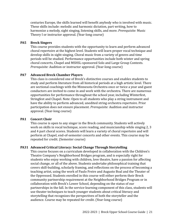centuries Europe, the skills learned will benefit anybody who is involved with music. These skills include: melodic and harmonic dictation, part writing, how to harmonize a melody, sight singing, listening skills, and more. *Prerequisite:* Music Theory I or instructor approval. (Year-long course)

#### **PA5 Breck Singers**

This course provides students with the opportunity to learn and perform advanced choral repertoire at the highest level. Students will learn proper vocal technique and develop skills in sight-singing. Choral music from a variety of genres and time periods will be studied. Performance opportunities include both winter and spring choral concerts, Chapel and MSHSL-sponsored Solo and Large Group Contests. *Prerequisite:* Audition or instructor approval. (Year-long course)

#### **PA7 Advanced Breck Chamber Players**

This class is considered one of Breck's distinctive courses and enables students to study and perform literature from all historical periods at a high artistic level. There are sectional coachings with the Minnesota Orchestra once or twice a year and guest conductors are invited to come in and work with the orchestra. There are numerous opportunities for performance throughout the school year, including Winterfest, Stringfest and Chapel. Note: Open to all students who play a string instrument and have the ability to perform advanced, unedited string orchestra repertoire. Prior participation does not ensure placement. *Prerequisite:* Audition and instructor approval. (Year-long course)

#### **PA1 Concert Choir**

This course is open to any singer in the Breck community. Students will actively work on skills in vocal technique, score reading, and musicianship while singing 2, 3 and 4 part choral scores. Students will learn a variety of choral repertoire and will perform at Chapel, end-of-semester concerts and other events. This course may be repeated for credit. (Semester course)

#### **PA31 Advanced Critical Literacy: Social Change Through Storytelling**

This course focuses on a curriculum developed in collaboration with the Children's Theatre Company's Neighborhood Bridges program, and is especially right for students who enjoy working with children, love theatre, have a passion for affecting social change, or all of the above. Students undertake philosophical training that covers skill-building, scholarly framing, and reflections on the process of becoming a teaching artist, using the work of Paulo Freire and Augusto Boal and the Theater of the Oppressed. Students enrolled in this course will either perform their Breck community partnership requirement at the Neighborhood Bridges Program or in collaboration with Breck's Lower School, depending on the status of our partnerships in the fall. In the service-learning component of this class, students will use theater techniques to teach younger students about critical literacy and storytelling that recognizes the perspectives of both the storyteller and the audience. Course may be repeated for credit. (Year-long course)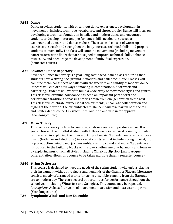#### **PA45 Dance**

Dance provides students, with or without dance experience, development in movement principles, technique, vocabulary, and choreography. Dance will focus on developing a technical foundation in ballet and modern dance and encourage students to develop motor and performance skills needed to succeed as well-rounded dancers and dance-makers. The class will consist of warm-up exercises to stretch and strengthen the body, increase technical skills, and prepare students to move fully. The class will combine movements (including movement patterns across the floor) that are designed to improve technical skills, enhance musicality, and encourage the development of individual expression. (Semester course)

#### **PA27 Advanced Dance Repertory**

Advanced Dance Repertory is a year-long, fast-paced, dance class requiring that students have a strong background in modern and ballet technique. Classes will combine technical aspects of ballet with the freedom and fluidity of modern dance. Dancers will explore new ways of moving in combinations, floor work and partnering. Students will work to build a wide array of movement styles and genres. This class will examine how dance has been an important part of oral and performance traditions of passing stories down from one generation to the next. This class will celebrate our personal achievements, encourage collaboration and highlight the power of the ensemble/team. Dancers will take part in both the fall and winter dance concerts. *Prerequisite:* Audition and instructor approval. (Year-long course)

#### **PA28 Music Theory I**

This course shows you how to compose, analyze, create and produce music. It is geared toward the mindful student with little or no prior musical training, but who is interested in exploring the inner workings of music. Students create and compose music (both live and electronic) in a variety of styles that include: string quartet, hip hop production, wind band, jazz ensemble, marimba band and more. Students are introduced to the building blocks of music — rhythm, melody, harmony and form by exploring music from all styles including Classical, Hip Hop, Jazz, Baroque. Differentiation allows this course to be taken multiple times. (Semester course)

#### **PA46 String Orchestra**

This course is designed to meet the needs of the string student who enjoys playing their instrument without the rigors and demands of the Chamber Players. Literature consists mostly of arranged works for string ensemble, ranging from the Baroque era to modern day. There are several opportunities for performance throughout the school year including Winterfest and Stringfest. This course may be repeated. *Prerequisite:* At least four years of instrument instruction and instructor approval. (Year-long course)

#### **PA6 Symphonic Winds and Jazz Ensemble**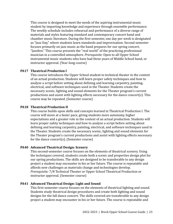This course is designed to meet the needs of the aspiring instrumental music student by imparting knowledge and experience through ensemble performance. The weekly schedule includes rehearsal and performance of a diverse range of materials and styles featuring standard and contemporary concert band and chamber music literature. During the first semester, one day per week is designated as "Jazz Day," where students learn standards and improvisation. Second semester focuses primarily on jazz music as the band prepares for our spring concert, "Jazzfest." This course presents the "real world" of the practicing professional musician in a controlled atmosphere. *Prerequisite:* Open to all Upper School instrumental music students who have had three years of Middle School band, or instructor approval. (Year-long course)

#### **PA17 Theatrical Production I**

This course introduces the Upper School student to technical theater in the context of an actual production. Students will learn proper safety techniques and how to analyze a script before setting about defining and learning carpentry, painting, electrical, and software techniques used in the Theater. Students create the necessary scenic, lighting and sound elements for the Theater program's current productions and assist with lighting effects necessary for the dance concert(s). This course may be repeated. (Semester course)

#### **PA18 Theatrical Production II**

This course builds upon skills and concepts learned in Theatrical Production I. The course will move at a faster pace, giving students more autonomy, higher expectations and a greater role in the context of an actual production. Students will learn proper safety techniques and how to analyze a script before setting about defining and learning carpentry, painting, electrical, and software techniques used in the Theater. Students create the necessary scenic, lighting and sound elements for the Theater program's current productions and assist with lighting effects necessary for the dance concert(s). (Semester course)

#### **PA40 Advanced Theatrical Design: Scenery**

This second-semester course focuses on the elements of theatrical scenery. Using the techniques covered, students create both a scenic and properties design plot for our spring productions. The skills are designed to be transferable to any design project a student may encounter in his or her future. The course is repeatable and affords new challenges as materials change and technologies develop. *Prerequisite:* 7/8 Technical Theater or Upper School Theatrical Production or instructor approval. (Semester course)

#### **PA41 Advanced Theatrical Design: Light and Sound**

This first-semester course focuses on the elements of theatrical lighting and sound. Students study theatrical design procedures and create both lighting and sound designs for the fall dance concert. The skills covered are transferable to any design project a student may encounter in his or her future. The course is repeatable and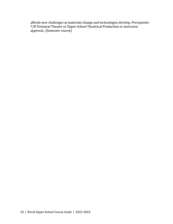<span id="page-26-0"></span>affords new challenges as materials change and technologies develop. *Prerequisite:* 7/8 Technical Theater or Upper School Theatrical Production or instructor approval.. (Semester course)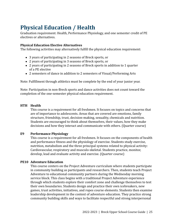## **Physical Education / Health**

Graduation requirement: Health, Performance Physiology, and one semester credit of PE electives or alternatives.

#### **Physical Education Elective Alternatives**

The following activities may alternatively fulfill the physical education requirement:

- 3 years of participating in 2 seasons of Breck sports, or
- 2 years of participating in 3 seasons of Breck sports, or
- 2 years of participating in 2 seasons of Breck sports in addition to 1 quarter of a PE elective
- 2 semesters of dance in addition to 2 semesters of Visual/Performing Arts

Note: Fulfillment through athletics must be complete by the end of your junior year.

Note: Participation in non-Breck sports and dance activities does not count toward the completion of the one-semester physical education requirement.

#### **HTH Health**

This course is a requirement for all freshmen. It focuses on topics and concerns that are of importance to adolescents. Areas that are covered are emotions, family structure, friendship, trust, decision-making, sexuality, chemicals and nutrition. Students are encouraged to think about themselves, their values, how they make decisions and how they interact and communicate with others. (Quarter course)

#### **E9 Performance Physiology**

This course is a requirement for all freshmen. It focuses on the components of health and performance fitness and the physiology of exercise. Students study exercise, nutrition, metabolism and the three principal systems related to physical activity: Cardiovascular, respiratory and musculo-skeletal. Students practice, monitor, develop, lead and evaluate activity and exercise. (Quarter course)

#### **PE10 Adventure Education**

This course centers on the Project Adventure curriculum where students participate in community building as participants and researchers. Then, students teach Project Adventure to educational community partners during the Wednesday morning service block. This class begins with a traditional Project Adventure experience through which students explore their comfort zone and challenge themselves to test their own boundaries. Students design and practice their own icebreakers, new games, trust activities, initiatives, and ropes course elements. Students then examine leadership development in the context of adventure education. They practice strong community building skills and ways to facilitate respectful and strong interpersonal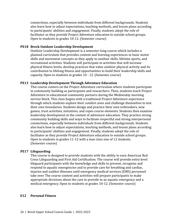connections, especially between individuals from different backgrounds. Students also learn how to adjust expectations, teaching methods, and lesson plans according to participants' abilities and engagement. Finally, students adopt the role of facilitator as they provide Project Adventure education to outside school groups. Open to students in grades 10-12. (Semester course)

#### **PE18 Breck Outdoor Leadership Development**

Outdoor Leadership Development is a semester-long course which includes a planned curriculum that provides content and learning experiences in basic motor skills and movement concepts as they apply to outdoor skills, lifetime sports, and recreational activities. Students will participate in activities that will increase physical fitness levels, develop practices that value outdoor physical activity and its contribution to lifelong fitness and opportunities to build their leadership skills and capacity. Open to students in grades 10 - 12. (Semester course)

#### **PE13 Leadership Development Through Adventure Education**

This course centers on the Project Adventure curriculum where students participate in community building as participants and researchers. Then, students teach Project Adventure to educational community partners during the Wednesday morning service block. This class begins with a traditional Project Adventure experience through which students explore their comfort zone and challenge themselves to test their own boundaries. Students design and practice their own icebreakers, new games, trust activities, initiatives, and ropes course elements. Students then examine leadership development in the context of adventure education. They practice strong community building skills and ways to facilitate respectful and strong interpersonal connections, especially between individuals from different backgrounds. Students also learn how to adjust expectations, teaching methods, and lesson plans according to participants' abilities and engagement. Finally, students adopt the role of facilitator as they provide Project Adventure education to outside school groups. Open to students in grades 11-12 with a max class size of 12 students. (Semester course)

#### **PE17 Lifeguarding**

This course is designed to provide students with the ability to earn American Red Cross Lifeguarding and First Aid Certification. The course will provide entry-level lifeguard participants with the knowledge and skills to prevent, recognize and respond to aquatic emergencies and to provide care for breathing and cardiac, injuries and sudden illnesses until emergency medical services (EMS) personnel take over. The course content and activities will prepare participants to make appropriate decisions about the care to provide in an aquatic emergency and a medical emergency. Open to students in grades 10-12. (Semester course)

#### **E12 Personal Fitness**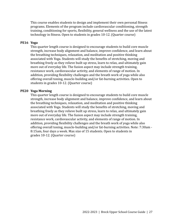This course enables students to design and implement their own personal fitness programs. Elements of the program include cardiovascular conditioning, strength training, conditioning for sports, flexibility, general wellness and the use of the latest technology in fitness. Open to students in grades 10-12. (Quarter course)

#### **PE16 Yoga**

This quarter length course is designed to encourage students to build core muscle strength, increase body alignment and balance, improve confidence, and learn about the breathing techniques, relaxation, and meditation and positive thinking associated with Yoga. Students will study the benefits of stretching, moving and breathing freely as they relieve built up stress, learn to relax, and ultimately gain more out of everyday life. The fusion aspect may include strength training, resistance work, cardiovascular activity, and elements of range of motion. In addition, providing flexibility challenges and the breath work of yoga while also offering overall toning, muscle-building and/or fat-burning activities. Open to students in grades 10-12. (Quarter course)

#### **PE20 Yoga Morning**

This quarter length course is designed to encourage students to build core muscle strength, increase body alignment and balance, improve confidence, and learn about the breathing techniques, relaxation, and meditation and positive thinking associated with Yoga. Students will study the benefits of stretching, moving and breathing freely as they relieve built up stress, learn to relax, and ultimately gain more out of everyday life. The fusion aspect may include strength training, resistance work, cardiovascular activity, and elements of range of motion. In addition, providing flexibility challenges and the breath work of yoga while also offering overall toning, muscle-building and/or fat-burning activities. Note: 7:30am - 8:15am, four days a week. Max size of 15 students. Open to students in grades 10-12. (Quarter course)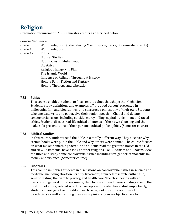### <span id="page-30-0"></span>**Religion**

Graduation requirement: 2.332 semester credits as described below:

#### **Course Sequence**

Grade 9: World Religions I (taken during May Program; hence, 0.5 semester credits)

- Grade 10: World Religions II
- Grade 12: Ethics

Biblical Studies Buddha, Jesus, Muhammad Bioethics Religious Imagery in Film The Islamic World Influence of Religion Throughout History Honors Faith, Fiction and Fantasy Honors Theology and Liberation

#### **RS2 Ethics**

This course enables students to focus on the values that shape their behavior. Students study definitions and examples of "the good person" presented in philosophy, film and biographies, and construct a philosophy of their own. Students take one test, write one paper, give their senior speech in Chapel and debate controversial issues including suicide, mercy killing, capital punishment and racial ethics. Students discuss real-life ethical dilemmas of their own choosing and then make solo presentations of their personal ethical philosophies. (Semester course)

#### **RS3 Biblical Studies**

In this course, students read the Bible in a totally different way. They discover why certain books were put in the Bible and why others were banned. The course focuses on what makes something sacred, and students read the greatest stories in the Old and New Testaments, have a look at other religions like Buddhism and Daoism, view the Bible and study some controversial issues including sex, gender, ethnocentrism, money and violence. (Semester course)

#### **RS5 Bioethics**

This course immerses students in discussions on controversial issues in science and medicine, including abortion, fertility treatment, stem cell research, euthanasia, genetic testing, the right to privacy, and health care. The class begins with an overview of general moral reasoning, then focuses on each issue's history, rise to the forefront of ethics, related scientific concepts and related laws. Most importantly, students investigate the morality of each issue, looking at the opinions of bioethicists as well as refining their own opinions. Course objectives are to: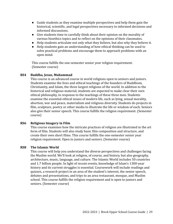- Guide students as they examine multiple perspectives and help them gain the historical, scientific, and legal perspectives necessary to informed decisions and informed discussions.
- Give students time to carefully think about their opinion on the morality of various bioethics topics and to reflect on the opinions of their classmates.
- Help students articulate not only what they believe, but also why they believe it.
- Help students gain an understanding of how ethical thinking can be used to solve practical problems and encourage them to approach problems with an open mind.

This course fulfills the one-semester senior year religion requirement. (Semester course)

#### **RS4 Buddha, Jesus, Muhammad**

This course is an advanced course in world religions open to seniors and juniors. Students examine the lives and ethical teachings of the founders of Buddhism, Christianity, and Islam, the three largest religions of the world. In addition to the historical and religious material, students are expected to make clear their own ethical philosophy, in response to the teachings of these three men. Students examine the essential ethical issues of modern life, such as lying, sexual morality, abortion, war and peace, materialism and religious diversity. Students do projects in film, sculpture, poetry or other media to illustrate the life or wisdom of each. Seniors also give their senior speech. This course fulfills the religion requirement. (Semester course)

#### **RS6 Religious Imagery in Film**

This course examines how the intricate practices of religion are illustrated in the art form of film. Students will also study basic film composition and structure, and create their own short films. This course fulfills the one-semester senior year religion requirement. Open to juniors and seniors. (Semester course)

#### **RS8 The Islamic World**

This course will help you understand the diverse perspectives and challenges facing the Muslim world. We'll look at religion, of course, and history, but also geography, architecture, music, language, and culture. The Islamic World includes 50 countries and 1.7 billion people. In light of recent events, knowledge of Islam's 1300-year history and its current struggles is essential. Coursework will include readings and quizzes, a research project in an area of the student's interest, the senior speech, debates and presentations, and trips to an area restaurant, mosque, and Muslim school. This course fulfills the religion requirement and is open to juniors and seniors. (Semester course)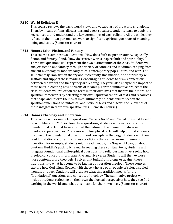#### **RS10 World Religions II**

This course reviews the basic world views and vocabulary of the world's religions. Then, by means of films, discussions and guest speakers, students learn to apply the key concepts and understand the key ceremonies of each religion. All the while, they reflect on their own personal answers to significant spiritual questions of meaning, being and value. (Semester course)

#### **RS12 Honors Faith, Fiction, and Fantasy**

This course examines two questions: "How does faith inspire creativity, especially fiction and fantasy?" and, "How do creative works inspire faith and spirituality?" These two questions will represent the two distinct units of the class. Students will analyze fiction and fantasy through a variety of contexts and mediums, ranging from ancient mythologies, modern fairy tales, contemporary pop-culture, and works of sci-fi/fantasy. Non-fiction theory about creativity, imagination, and spirituality will scaffold and support these readings, encouraging students to draw connections between the works and theory they are reading. They will also analyze the impact of these texts in creating new horizons of meaning. For the summative project of the class, students will reflect on the texts in their own lives that inspire their moral and spiritual frameworks by selecting their own "spiritual canon" of texts and resources that shape and inform their own lives. Ultimately, students will reflect on the spiritual dimensions of fantastical and fictional texts and discern the relevance of these insights in their own spiritual lives. (Semester course)

#### **RS14 Honors Theology and Liberation**

<span id="page-32-0"></span>This course will examine two questions: "Who is God?" and, "What does God have to do with liberation?" To explore these questions, students will read some of the foundational texts that have explored the nature of the divine from diverse theological perspectives. These more philosophical texts will help ground students in some of the foundational questions and concepts in theology. Students will then read foundational stories from these traditions that center around themes of liberation: for example, students might read Exodus, the Gospel of Luke, or about Gautama Buddha's path to Nirvana. In reading these spiritual texts, students will integrate foundational philosophical questions into religious narrative, seeing how theological concepts inform narrative and vice versa. Students will then explore more contemporary theological voices that build from, along, or against these traditions into what has come to be known as liberation theology. These sources explore how God aligns Godself with those who are poor, people of color, disabled, women, or queer. Students will evaluate what this tradition means for the "foundational" questions and concepts of theology. The summative project will include students reflecting on their own theological perspective: how they see God working in the world, and what this means for their own lives. (Semester course)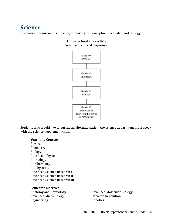### **Science**

Graduation requirements: Physics, Chemistry or Conceptual Chemistry, and Biology.

#### **Upper School 2022-2023 Science Standard Sequence**



Students who would like to pursue an alternate path in the science department must speak with the science department chair.

#### **Year-long Courses**

Physics Chemistry Biology Advanced Physics AP Biology AP Chemistry AP Physics C Advanced Science Research I Advanced Science Research II Advanced Science Research III

#### **Semester Electives**

Advanced Microbiology Darwin's Revolution Engineering Robotics

Anatomy and Physiology **Advanced Molecular Biology**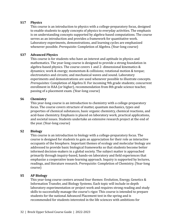#### **S17 Physics**

This course is an introduction to physics with a college-preparatory focus, designed to enable students to apply concepts of physics to everyday activities. The emphasis is on understanding concepts supported by algebra-based computations. The course serves as an introduction and provides a framework for quantitative work. Laboratory experiments, demonstrations, and learning cycles are emphasized whenever possible. *Prerequisite:* Completion of Algebra. (Year-long course)

#### **S37 Advanced Physics**

This course is for students who have an interest and aptitude in physics and mathematics. The year-long course is designed to provide a strong foundation in algebra-based physics. The course covers 1 and 2- dimensional kinematics & dynamics; work & energy; momentum & collisions; rotational motion & torque; electrostatics and circuits; and mechanical waves and sound. Laboratory experiments and demonstrations are used whenever possible to illustrate concepts. *Prerequisites:* Completion of Algebra II. For incoming 9th grade students; concurrent enrollment in HAA (or higher), recommendation from 8th grade science teacher, passing of a placement exam. (Year-long course)

#### **S6 Chemistry**

This year-long course is an introduction to chemistry with a college-preparatory focus. The course covers structure of matter, quantum mechanics, types and properties of chemical substances, basic organic chemistry, chemical reactions, and acid-base chemistry. Emphasis is placed on laboratory work, practical applications, and societal issues. Students undertake an extensive research project at the end of the year. (Year-long course)

#### **S2 Biology**

This course is an introduction to biology with a college-preparatory focus. The course is designed for students to gain an appreciation for their role as interactive occupants of the biosphere. Important themes of ecology and molecular biology are addressed to provide basic biological frameworks so that students become better informed decision-makers in a global society. The subject matter is approached primarily through inquiry-based, hands-on laboratory and field experiences that emphasize a cooperative team-learning approach. Inquiry is supported by lectures, readings, and literature research. *Prerequisite:* Completion of Chemistry. (Year-long course)

#### **S5 AP Biology**

This year-long course centers around four themes: Evolution, Energy, Genetics & Information Transfer, and Biology Systems. Each topic will include in-depth laboratory experimentation or project work and requires strong reading and study skills to successfully manage the course's rigor. This course is intended to prepare students for the national Advanced Placement test in the spring and is recommended for students interested in the life sciences with ambitions for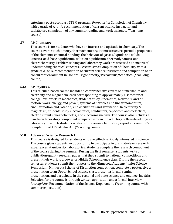entering a post-secondary STEM program. *Prerequisite:* Completion of Chemistry with a grade of A- or A, recommendation of current science instructor and satisfactory completion of any summer reading and work assigned. (Year-long course)

#### **S7 AP Chemistry**

This course is for students who have an interest and aptitude in chemistry. The course covers stoichiometry, thermochemistry, atomic structure, periodic properties of the elements, chemical bonding, the behavior of gasses, liquids and solids, kinetics, acid-base equilibrium, solution equilibrium, thermodynamics, and electrochemistry. Problem solving and laboratory work are stressed as a means of understanding chemical concepts. *Prerequisites:* Completion of Chemistry with a grade of A- or A, recommendation of current science instructor and completion of or concurrent enrollment in Honors Trigonometry/Precalculus/Statistics. (Year-long course)

#### **S32 AP Physics C**

This calculus-based course includes a comprehensive coverage of mechanics and electricity and magnetism, each corresponding to approximately a semester of college-level work. In mechanics, students study kinematics; Newton's laws of motion; work, energy, and power; systems of particles and linear momentum; circular motion and rotation; and oscillations and gravitation. In electricity & magnetism, students study electrostatics; conductors, capacitors and dielectrics; electric circuits; magnetic fields; and electromagnetism. The course also includes a hands-on laboratory component comparable to an introductory college-level physics laboratory in which students write comprehensive laboratory reports. *Prerequisite:* Completion of AP Calculus AB. (Year-long course)

#### **S10 Advanced Science Research I**

This course is designed for students who are gifted/seriously interested in science. The course gives students an opportunity to participate in graduate-level research experiences at university laboratories. Students complete the research component of the course during the summer. During the first semester, students write a publication-quality research paper that they submit to national competitions and present their work to a Lower or Middle School science class. During the second semester, students submit their papers to the Minnesota Academy Junior Science Symposium, Minnesota Scholar of Distinction competition, complete a poster, give a presentation to an Upper School science class, present a formal seminar presentation, and participate in the regional and state science and engineering fairs. Selection for the course is through written application and a formal interview. *Prerequisite:* Recommendation of the Science Department. (Year-long course with summer expectation)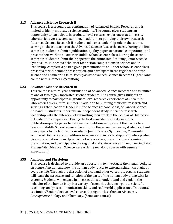#### **S13 Advanced Science Research II**

This course is a second-year continuation of Advanced Science Research and is limited to highly motivated science students. The course gives students an opportunity to participate in graduate-level research experiences at university laboratories over a second summer. In addition to pursuing their own research, Advanced Science Research II students take on a leadership role in the course, serving as the co-teacher of the Advanced Science Research course. During the first semester, students submit a publication-quality paper to national competitions and present their work to a Lower or Middle School science class. During the second semester, students submit their papers to the Minnesota Academy Junior Science Symposium, Minnesota Scholar of Distinction competitions in science and in leadership, complete a poster, give a presentation to an Upper School science class, present a formal seminar presentation, and participate in the regional and state science and engineering fairs. *Prerequisite:* Advanced Science Research I. (Year-long course with summer expectation)

#### **S23 Advanced Science Research III**

This course is a third-year continuation of Advanced Science Research and is limited to one or two highly motivated science students. The course gives students an opportunity to participate in graduate-level research experiences at university laboratories over a third summer. In addition to pursuing their own research and serving as the "leader of leaders" in the science research class, Advanced Science Research III students undertake an independent study in science research leadership with the intention of submitting their work to the Scholar of Distinction in Leadership competition. During the first semester, students submit a publication-quality paper to national competitions and present their work to a Lower or Middle School science class. During the second semester, students submit their papers to the Minnesota Academy Junior Science Symposium, Minnesota Scholar of Distinction competitions in science and in leadership, complete a poster, give a presentation to an Upper School science class, present a formal seminar presentation, and participate in the regional and state science and engineering fairs. *Prerequisite:* Advanced Science Research II. (Year-long course with summer expectation)

#### **S35 Anatomy and Physiology**

This course is designed to provide an opportunity to investigate the human body, its structure, function and how the human body reacts to external stimuli throughout everyday life. Through the dissection of a cat and other vertebrate organs, students will learn the structure and function of the parts of the human body, along with its systems. Students will engage in investigations to understand and explain the behavior of the human body in a variety of scenarios that incorporate scientific reasoning, analysis, communication skills, and real-world applications. This course is a Junior/Senior elective level course; the rigor is less than an AP course. *Prerequisites:* Biology and Chemistry. (Semester course)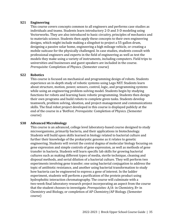#### **S21 Engineering**

This course covers concepts common to all engineers and performs case studies as individuals and teams. Students learn introductory 2-D and 3-D modeling using Vectorworks. They are also introduced to basic circuitry, principles of mechanics and to materials science. Students then apply these concepts to their own engineering designs, which might include making a slingshot to project a 55-gallon drum, designing a passive solar home, engineering a high mileage vehicle, or creating a mobile suitcase for the physically challenged. In case studies, students consult with professional engineers and experts in the field of engineering as well as test the models they make using a variety of instruments, including computers. Field trips to universities and businesses and guest speakers are included in the course. *Prerequisite:* Completion of Physics. (Semester course)

#### **S22 Robotics**

This course is focused on mechanical and programming design of robots. Students experience an in-depth study of robotic systems using Lego NXT. Students learn about structure, motion, power, sensors, control, logic, and programming systems while using an engineering problem-solving model. Students begin by studying functions for robots and learning basic robotic programming. Students then design their own programs and build robots to complete given tasks. Students develop teamwork, problem solving, ideation, and project-management and communications skills. The final robot project developed in this course is displayed publicly at the end of the course in a 'BotFest. *Prerequisite:* Completion of Physics. (Semester course)

#### **S38 Advanced Microbiology**

This course is an advanced, college level laboratory-based course designed to study microorganisms, primarily bacteria, and their applications in biotechnology. Students will build upon skills learned in biology related to bacterial culture and further their knowledge of the prokaryotic genome as it relates to genetic engineering. Students will revisit the central dogma of molecular biology focusing on gene expression and simple controls of gene expression, as well as methods of gene transfer in bacteria. Students will learn specific lab skills for growing bacterial cultures such as making different types of media, sterile technique, cleaning and disposal methods, and serial dilution of a bacterial culture. They will perform two experiments involving gene transfer; one using bacterial conjugation to address the topic of antibiotic resistance, and another using bacterial transformation to study how bacteria can be engineered to express a gene of interest. In the ladder experiment, students will perform a purification of the protein product using hydrophobic interaction chromatography. The course will culminate with a two-week final laboratory research project incorporating an aspect from the course that the student chooses to investigate. *Prerequisites:* A/A- in Chemistry, B+ in Chemistry and Biology, or completion of AP Chemistry/AP Biology. (Semester course)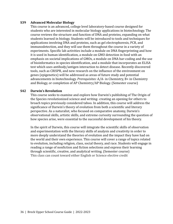#### **S39 Advanced Molecular Biology**

This course is an advanced, college level laboratory-based course designed for students who are interested in molecular biology applications in biotechnology. The course reviews the structure and function of DNA and proteins, expanding on what students learned in biology. Students will be introduced to tools and techniques for applications involving DNA and proteins, such as gel electrophoresis, PCR, and immunodetection, and they will use them throughout the course in a variety of experiments. Specific lab activities include a module on DNA fingerprinting and how it is used in human identification, a module on GMO detection in food with an emphasis on societal implications of GMOs, a module on DNA bar-coding and the use of bioinformatics in species identification, and a module that incorporates an ELISA test which uses antibody/antigen interaction to detect disease. Recently discovered tools, such as CRISPR, and new research on the influence of the environment on genes (epigenetics) will be addressed as areas of future study and potential advancements in biotechnology. *Prerequisites:* A/A- in Chemistry, B+ in Chemistry and Biology, or completion of AP Chemistry/AP Biology. (Semester course)

#### **S42 Darwin's Revolution**

This course seeks to examine and explore how Darwin's publishing of The Origin of the Species revolutionized science and writing- creating an opening for others to broach topics previously considered taboo. In addition, this course will address the significance of Darwin's theory of evolution from both a scientific and literary perspective. As a naturalist, who focused on comparative anatomy, Darwin's observational skills, artistic skills, and extreme curiosity surrounding the question of how species arise, were essential to the successful development of his theory.

In the spirit of Darwin, this course will integrate the scientific skills of observation and experimentation with the literary skills of analysis and creativity in order to more deeply understand the theories of evolution and the impact they have had on the world and their own experience. This course will cover a range of topics related to evolution, including religion, class, social theory, and race. Students will engage in reading a range of nonfiction and fiction selections and express their learning through scientific, creative, and analytical writing. (Semester course) This class can count toward either English or Science elective credit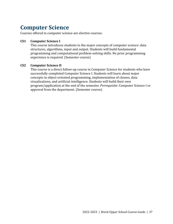### <span id="page-39-0"></span>**Computer Science**

Courses offered in computer science are elective courses.

#### **CS1 Computer Science I**

This course introduces students to the major concepts of computer science: data structures, algorithms, input and output. Students will build fundamental programming and computational problem-solving skills. No prior programming experience is required. (Semester course)

#### **CS2 Computer Science II**

This course is a direct follow-up course in Computer Science for students who have successfully completed Computer Science I. Students will learn about major concepts in object-oriented programming, implementation of classes, data visualizations, and artificial intelligence. Students will build their own program/application at the end of the semester. *Prerequisite:* Computer Science I or approval from the department. (Semester course)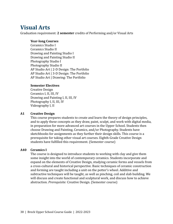### <span id="page-40-0"></span>**Visual Arts**

Graduation requirement: **2 semester** credits of Performing and/or Visual Arts

#### **Year-long Courses**

Ceramics Studio I Ceramics Studio II Drawing and Painting Studio I Drawing and Painting Studio II Photography Studio I Photography Studio II AP Studio Art | 2-D Design: The Portfolio AP Studio Art | 3-D Design: The Portfolio AP Studio Art | Drawing: The Portfolio

#### **Semester Electives**

Creative Design Ceramics I, II, III, IV Drawing and Painting I, II, III, IV Photography I, II, III, IV Videography I, II

#### **A1 Creative Design**

This course prepares students to create and learn the theory of design principles, and to apply these concepts as they draw, paint, sculpt, and work with digital media, in preparation for more advanced art courses in the Upper School. Students then choose Drawing and Painting, Ceramics, and/or Photography. Students have sketchbooks for assignments as they further their design skills. This course is a prerequisite for taking other visual art courses. Eighth-Grade Creative Design students have fulfilled this requirement. (Semester course)

#### **A40 Ceramics I**

The course is designed to introduce students to working with clay and give them some insight into the world of contemporary ceramics. Students incorporate and expand on the elements of Creative Design, studying ceramic forms and vessels from a cross-cultural and historical perspective. Basic techniques of ceramic construction and forming are taught including a unit on the potter's wheel. Additive and subtractive techniques will be taught, as well as pinching, coil and slab building. We will discuss and create functional and sculptural work, and discuss how to achieve abstraction. *Prerequisite:* Creative Design. (Semester course)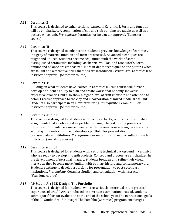#### **A41 Ceramics II**

This course is designed to enhance skills learned in Ceramics I. Form and function will be emphasized. A combination of coil and slab building are taught as well as a pottery wheel unit. *Prerequisite:* Ceramics I or instructor approval. (Semester course)

#### **A42 Ceramics III**

This course is designed to enhance the student's previous knowledge of ceramics. Integrity of material, function and form are stressed. Advanced techniques are taught and utilized. Students become acquainted with the works of some distinguished ceramicists including Mackenzie, Voulkos, and Duckworth. Form, texture and balance are emphasized. More in-depth techniques on the potter's wheel are taught and alternative firing methods are introduced. *Prerequisite:* Ceramics II or instructor approval. (Semester course)

#### **A43 Ceramics IV**

Building on what students have learned in Ceramics III, this course will further develop a student's ability to plan and create works that not only showcase expressive qualities, but also show a higher level of craftsmanship and attention to detail. Creative approach to the clay and incorporation of mixed media are taught. Students also participate in an alternative firing. *Prerequisite:* Ceramics III or instructor approval. (Semester course)

#### **A9 Ceramics Studio I**

This course is designed for students with technical backgrounds to conceptualize assignments that involve creative problem solving. The Raku firing process is introduced. Students become acquainted with the renaissance going on in ceramic art today. Students continue to develop a portfolio for presentation to post-secondary institutions. *Prerequisite:* Ceramics III or IV and consultation with instructor. (Year-long course)

#### **A12 Ceramics Studio II**

This course is designed for students with a strong technical background in ceramics who are ready to develop in-depth projects. Concept and process are emphasized in the development of personal imagery. Students broaden and refine their visual literacy as they become more familiar with both art history and contemporary art. Students continue to develop a portfolio for presentation to post-secondary institutions. *Prerequisite:* Ceramics Studio I and consultation with instructor. (Year-long course)

#### **A13 AP Studio Art | 3D Design: The Portfolio**

This course is designed for students who are seriously interested in the practical experience of art. AP Art is not based on a written examination; instead, students submit portfolios for evaluation at the end of the school year. The instructional goals of the AP Studio Art | 3D Design: The Portfolio (Ceramics) program encourages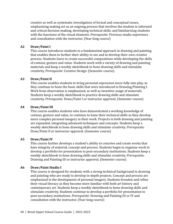creative as well as systematic investigation of formal and conceptual issues, emphasizing making art as an ongoing process that involves the student in informed and critical decision-making, developing technical skills, and familiarizing students with the functions of the visual elements. *Prerequisite:* Previous studio experience and consultation with the instructor. (Year-long course)

#### **A2 Draw/Paint I**

This course introduces students to a fundamental approach in drawing and painting that enables them to further their ability to see and to develop their own creative process. Students learn to create successful compositions while developing the skills of contour, gesture and value. Students work with a variety of drawing and painting materials and keep a weekly sketchbook to hone drawing skills and stimulate creativity. *Prerequisite:* Creative Design. (Semester course)

#### **A3 Draw/Paint II**

This course enables students to bring personal expression more fully into play, as they continue to hone the basic skills that were introduced in Drawing/Painting I. Work from observation is emphasized, as well as inventive usage of materials. Students keep a weekly sketchbook to practice drawing skills and stimulate creativity. *Prerequisite:* Draw/Paint I or instructor approval. (Semester course)

#### **A4 Draw/Paint III**

This course enables students who have demonstrated a working knowledge of contour, gesture and value, to continue to hone their technical skills as they develop more complex personal imagery in their work. Projects in both drawing and painting are expanded, integrating advanced techniques and concepts. Students keep a weekly sketchbook to hone drawing skills and stimulate creativity. *Prerequisite:* Draw/Paint II or instructor approval. (Semester course)

#### **A5 Draw/Paint IV**

This course further develops a student's ability to conceive and create works that have integrity of material, concept and process. Students begin to organize work to develop a portfolio for presentation to post-secondary institutions. Students keep a weekly sketchbook to hone drawing skills and stimulate creativity. *Prerequisite:* Drawing and Painting III or instructor approval. (Semester course)

#### **A6 Draw/Paint Studio I**

This course is designed for students with a strong technical background in drawing and painting who are ready to develop in-depth projects. Concept and process are emphasized in the development of personal imagery. Students broaden and refine their visual literacy as they become more familiar with both art history and contemporary art. Students keep a weekly sketchbook to hone drawing skills and stimulate creativity. Students continue to develop a portfolio for presentation to post-secondary institutions. *Prerequisite:* Drawing and Painting III or IV and consultation with the instructor. (Year-long course)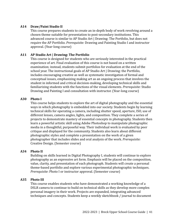#### **A14 Draw/Paint Studio II**

This course prepares students to create an in-depth body of work revolving around a chosen theme suitable for presentation to post-secondary institutions. This advanced course is similar to AP Studio Art | Drawing: The Portfolio, but does not require the AP Portfolio. *Prerequisite:* Drawing and Painting Studio I and instructor approval. (Year-long course)

#### **A11 AP Studio Art | Drawing: The Portfolio**

This course is designed for students who are seriously interested in the practical experience of art. Final evaluation of this course is not based on a written examination; instead, students submit portfolios for evaluation at the end of the school year. The instructional goals of AP Studio Art | Drawing: the Portfolio, includes encouraging creative as well as systematic investigation of formal and conceptual issues, emphasizing making art as an ongoing process that involves the student in informed and critical decision-making, developing technical skills and familiarizing students with the functions of the visual elements. *Prerequisite:* Studio Drawing and Painting I and consultation with instructor. (Year-long course)

#### **A30 Photo I**

This course helps students to explore the art of digital photography and the essential ways in which photography is embedded into our society. Students begin by learning technical skills for operating a camera, including shutter speed, aperture, ISO, use of different lenses, camera angles, lights, and composition. They complete a series of projects to demonstrate mastery of essential concepts in photography. Students then learn a powerful artistic skill using Adobe Photoshop to manipulate photographic media in a thoughtful, purposeful way. Their individual work is evaluated by peer critique and displayed for the community. Students also learn about different photographic styles and complete a presentation on the work of a given photographer that includes slides and oral analysis of the work. *Prerequisite:* Creative Design. (Semester course)

#### **A34 Photo II**

Building on skills learned in Digital Photography I, students will continue to explore photography as an expressive art form. Emphasis will be placed on the composition, value, clarity, and presentation of each photograph. Students will create a personal theme-based portfolio and explore various experimental photographic techniques. *Prerequisite*: Photo I or instructor approval. (Semester course)

#### **A35 Photo III**

This course enables students who have demonstrated a working knowledge of a DSLR camera to continue to build on technical skills as they develop more complex personal imagery in their work. Projects are expanded, integrating advanced techniques and concepts. Students keep a weekly sketchbook / journal to document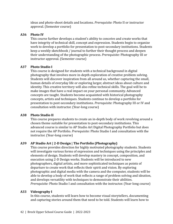ideas and photo-shoot details and locations. *Prerequisite:* Photo II or instructor approval. (Semester course)

#### **A36 Photo IV**

This course further develops a student's ability to conceive and create works that have integrity of technical skill, concept and expression. Students begin to organize work to develop a portfolio for presentation to post-secondary institutions. Students keep a weekly sketchbook / journal to further their thought process and deepen their understanding of the photographic process. *Prerequisite:* Photography III or instructor approval. (Semester course)

#### **A37 Photo Studio I**

This course is designed for students with a technical background in digital photography that involves more in-depth exploration of creative problem solving. Students will discover inspiration from all around us, whether capturing the small, human details of everyday life or exploring larger, abstract ideas about culture and identity. This creative territory will also refine technical skills. The goal will be to make images that have a real impact on your personal community. Advanced concepts are taught. Students become acquainted with historical photography concepts, artists and techniques. Students continue to develop a portfolio for presentation to post-secondary institutions. *Prerequisite:* Photography III or IV and consultation with instructor. (Year-long course)

#### **A38 Photo Studio II**

This course prepares students to create an in-depth body of work revolving around a chosen theme suitable for presentation to post-secondary institutions. This advanced course is similar to AP Studio Art Digital Photography Portfolio but does not require the AP Portfolio. *Prerequisite:* Photo Studio I and consultation with the instructor. (Year-long course)

#### **A39 AP Studio Art | 2-D Design | The Portfolio (Photography)**

This course provides direction for highly motivated photography students. Students will investigate various forms of expression and techniques using the principles and elements of design. Students will develop mastery in concept, composition, and execution using 2-D Design works. Students will be introduced to new photographers, digital artists, and more sophisticated techniques as points of departure to create work that reflects their spirit and vision. By exploring photographic and digital media with the camera and the computer, students will be able to develop a body of work that reflects a range of problem solving and ideation, and develops versatility with techniques to demonstrate their abilities. *Prerequisite:* Photo Studio I and consultation with the instructor. (Year-long course)

#### **A33 Videography I**

In this course, students will learn how to become visual storytellers, documenting and capturing stories around them that need to be told. Students will learn how to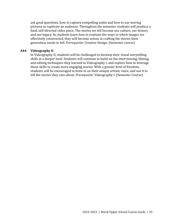ask good questions, how to capture compelling audio and how to use moving pictures to captivate an audience. Throughout the semester, students will produce a final, self-directed video piece. The stories we tell become our culture, our history and our legacy. As students learn how to evaluate the ways in which images are effectively constructed, they will become artists in crafting the stories their generation needs to tell. *Prerequisite:* Creative Design. (Semester course)

#### **A44 Videography II**

In Videography II, students will be challenged to develop their visual storytelling skills at a deeper level. Students will continue to build on the interviewing, filming, and editing techniques they learned in Videography I, and explore how to leverage those skills to create more engaging stories. With a greater level of freedom, students will be encouraged to hone in on their unique artistic voice, and use it to tell the stories they care about. *Prerequisite:* Videography I. (Semester Course)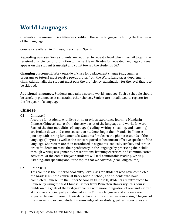## <span id="page-46-0"></span>**World Languages**

Graduation requirement: **6 semester credits** in the same language including the third year of that language.

Courses are offered in Chinese, French, and Spanish.

**Repeating courses.** Some students are required to repeat a level when they fail to gain the required proficiency for promotion to the next level. Grades for repeated language courses appear on the student transcript and count toward the student's GPA.

**Changing placement.** Work outside of class for a placement change (e.g., summer programs or tutors) must receive pre-approval from the World Languages department chair. Additionally, the student must pass the proficiency examination for the level that is to be skipped.

**Additional languages.** Students may take a second world language. Such a schedule should be carefully planned as it constrains other choices. Seniors are not allowed to register for the first year of a language.

### **Chinese**

#### **C1 Chinese I**

A course for students with little or no previous experience learning Mandarin Chinese, Chinese I starts from the very basics of the language and works forward. Each of the four modalities of language (reading, writing, speaking, and listening) are broken down and exercised so that students begin their Mandarin Chinese journey with strong fundamentals. Students first learn the phonetic sounds of the language (Pinyin) as well as the tones required to become an effective speaker of the language. Characters are then introduced in segments- radicals, strokes, and stroke order. Students increase their proficiency in the language by practicing their skills through writing assignments, presentations, listening exercises, and communicative activities. At the end of the year students will feel comfortable reading, writing, listening, and speaking about the topics that we covered. (Year-long course)

#### **C2 Chinese II**

This course is the Upper School entry-level class for students who have completed the Grade 8 Chinese course at Breck Middle School, and students who have completed Chinese I in the Upper School. In Chinese II, students are introduced to Chinese by using the text Chinese Primer from Princeton University. This course builds on the goals of the first-year course with more integration of oral and written skills. Class is principally conducted in the Chinese language and students are expected to use Chinese in their daily class routine and when conversing. The goal of the course is to expand student's knowledge of vocabulary, pattern structures and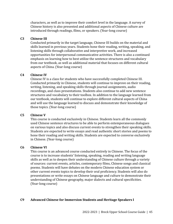characters, as well as to improve their comfort level in the language. A survey of Chinese history is also presented and additional aspects of Chinese culture are introduced through readings, films, or speakers. (Year-long course)

#### **C3 Chinese III**

Conducted primarily in the target language, Chinese III builds on the material and skills learned in previous years. Students hone their reading, writing, speaking, and listening skills through collaborative and interpretive work, and increased opportunities for interpersonal communicative activities. There is also a continued emphasis on learning how to best utilize the sentence structures and vocabulary from our textbook, as well as additional material that focuses on different cultural aspects of China. (Year-long course)

#### **C4 Chinese IV**

Chinese IV is a class for students who have successfully completed Chinese III. Conducted primarily in Chinese, students will continue to improve on their reading, writing, listening, and speaking skills through journal assignments, audio recordings, and class presentations. Students also continue to add new sentence structures and vocabulary to their toolbox. In addition to the language learned from our textbook, students will continue to explore different cultural aspects of China and will use the language learned to discuss and demonstrate their knowledge of those topics. (Year-long course)

#### **C5 Chinese V**

This course is conducted exclusively in Chinese. Students learn all the commonly used Chinese sentence structures to be able to perform extemporaneous dialogues on various topics and also discuss current events to strengthen their speaking skills. Students are expected to write essays and read authentic short stories and poems to hone their reading and writing skills. Students are expected to converse exclusively in Chinese. (Year-long course)

#### **C6 Chinese VI**

This course is an advanced course conducted entirely in Chinese. The focus of the course is to increase students' listening, speaking, reading and writing language skills as well as to deepen their understanding of Chinese culture through a variety of sources: current events, articles, contemporary films, Chinese songs and classical poems. Students will have debates on the modern Chinese education system or other current events topics to develop their oral proficiency. Students will also do presentations or write essays on Chinese language and culture to demonstrate their understanding of Chinese geography, major dialects and cultural specificities. (Year-long course)

#### **C9 Advanced Chinese for Immersion Students and Heritage Speakers I**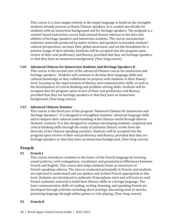This course is a class taught entirely in the target language to build on the strengths students already possess as fluent Chinese speakers. It is created specifically for students with an immersion background and for heritage speakers. The program is a content-based instruction course built around themes relevant to the lives and abilities of heritage speakers and immersion students. The course incorporates authentic materials produced by native writers and speakers to broaden students' cultural perspectives, increase their global awareness, and set the foundation for a positive image of their identity. Students will be accepted into the program upon review of their oral proficiency and fluency, provided that they are heritage speakers or that they have an immersion background. (Year-long course)

#### **C10 Advanced Chinese for Immersion Students and Heritage Speakers II**

This course is the second year of the advanced Chinese course for immersion and heritage speakers . Students will continue to develop their language skills and cultural knowledge as they collaborate on projects with students at their fluency level, focusing on the improvement of literacy and communicative skills, as well as the development of critical thinking and problem-solving skills. Students will be accepted into the program upon review of their oral proficiency and fluency, provided that they are heritage speakers or that they have an immersion background. (Year-long course)

#### **C15 Advanced Chinese Seminar**

This course is the third year of the program "Advanced Chinese for Immersion and Heritage Speakers". It is designed to strengthen students' advanced language skills and to deepen their cultural understanding of the Chinese world through diverse thematic contexts. It is also designed to continue developing students' analytical and critical thinking skills through the study of authentic literary works from the diversity of the Chinese-speaking societies. Students will be accepted into the program upon review of their oral proficiency and fluency, provided that they are heritage speakers or that they have an immersion background. (Year-long course)

### **French**

#### **F1 French I**

This course introduces students to the basics of the French language by learning sound patterns, verb conjugations, vocabulary, and grammatical differences between French and English. This course also helps students build an awareness of French-speaking cultures. The class is conducted principally in French, and students are expected to understand and use spoken and written French appropriate to this level. Students are introduced to authentic Francophone texts and will train to read French authentic material to build their literacy skills in a foreign language. The basic communicative skills of reading, writing, listening, and speaking French are developed through activities including short writings, discussing texts or movies, practicing language through online games or role-playing. (Year-long course)

#### **F2 French II**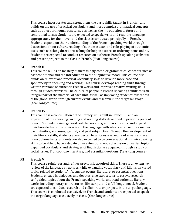This course incorporates and strengthens the basic skills taught in French I, and builds on the use of practical vocabulary and more complex grammatical concepts such as object pronouns, past tenses as well as the introduction to future and conditional tenses. Students are expected to speak, write and read the language appropriately for their level, and the class is conducted principally in French. Students expand on their understanding of the French-speaking world through discussions about culture, reading of authentic texts, and role-playing of authentic tasks such as asking directions, asking for help in a store, or ordering items online. Students are expected to conduct research on authentic French-speaking websites and present projects to the class in French. (Year-long course)

#### **F3 French III**

This course builds on mastery of increasingly complex grammatical concepts such as past conditional and the introduction to the subjunctive mood. This course also builds on relevant and practical vocabulary so as to develop more ease and spontaneity in speaking and writing. This course develops reading skills through written versions of authentic French works and improves creative writing skills through guided exercises. The culture of people in French-speaking countries is an integral part of the material of each unit, as well as improving students' awareness of the global world through current events and research in the target language. (Year-long course)

#### **F4 French IV**

This course is a continuation of the literacy skills built in French III, and an expansion of the speaking, writing and reading skills developed in previous years of French. Students review general verb tenses and grammar concepts, and expand their knowledge of the intricacies of the language with advanced structures such as past infinitive, si clauses, gerund, and past subjunctive. Through the development of their literacy skills, students are expected to write essays and read advanced-level Francophone texts. Students are also expected to be conversational in their speaking skills to be able to have a debate or an extemporaneous discussion on varied topics. Expanded vocabulary and strategies of linguistics are acquired through a study of social issues, Francophone literature, and essential questions. (Year-long course)

#### **F5 French V**

This course reinforces and refines previously acquired skills. There is an extensive review of the language structures while expanding vocabulary and idioms on varied topics related to students' life, current events, literature, or essential questions. Students engage in dialogues and debates, give exposes, write essays, research self-guided topics about the French-speaking world, and read authentic literary works including poetry, short stories, film scripts and a full-length novel. Students are expected to conduct research and collaborate on projects in the target language. This course is conducted exclusively in French, and students are expected to speak the target language exclusively in class. (Year-long course)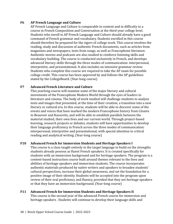#### **F6 AP French Language and Culture**

AP French Language and Culture is comparable in content and in difficulty to a course in French Composition and Conversation at the third-year college level. Students who enroll in AP French Language and Culture should already have a good command of French grammar and vocabulary. Students enrolled in this course should therefore be prepared for the rigors of college work. This course involves the reading, study and discussion of authentic French documents, such as articles from magazines and newspapers, texts from songs, as well as Francophone literature. Authentic movies and podcasts are also studied to reinforce listening skills and vocabulary building. The course is conducted exclusively in French, and develops advanced literacy skills through the three modes of communication: interpersonal, interpretive, and presentational. It also includes an intensive grammar review. Students who complete this course are required to take the AP exam for possible college credit. This course has been approved by and follows the AP guidelines stated by the CollegeBoard. (Year-long course)

#### **F7 Advanced French Literature and Culture**

This yearlong course will examine some of the major literary and cultural movements of the Francophone Modern World through the eyes of leaders in literature and cinema. The body of work studied will challenge students to analyze texts and images that presented, at the time of their creation, a transition into a new literary or cultural era. In this course, students will be able to discover some of the events and voices that have marked the modern Francophone history from Césaire to Beauvoir and Kassovitz, and will be able to establish parallels between the material studied, their own lives and our current world. Through project-based learning, research projects or debates, students will have opportunities to develop their language proficiency in French across the three modes of communication: interpersonal, interpretive and presentational, with special attention to critical reading and analytical writing. (Year-long course)

#### **F10 Advanced French for Immersion Students and Heritage Speakers I**

This course is a class taught entirely in the target language to build on the strengths students already possess as fluent French speakers. It is created specifically for students with an immersion background and for heritage speakers. The program is a content-based instruction course built around themes relevant to the lives and abilities of heritage speakers and immersion students. The course incorporates authentic materials produced by native writers and speakers to broaden students' cultural perspectives, increase their global awareness, and set the foundation for a positive image of their identity. Students will be accepted into the program upon review of their oral proficiency and fluency, provided that they are heritage speakers or that they have an immersion background. (Year-long course)

#### **F11 Advanced French for Immersion Students and Heritage Speakers II** This course is the second year of the advanced French course for immersion and heritage speakers . Students will continue to develop their language skills and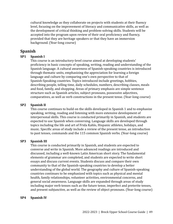cultural knowledge as they collaborate on projects with students at their fluency level, focusing on the improvement of literacy and communicative skills, as well as the development of critical thinking and problem-solving skills. Students will be accepted into the program upon review of their oral proficiency and fluency, provided that they are heritage speakers or that they have an immersion background. (Year-long course)

### **Spanish**

#### **SP1 Spanish I**

This course is an introductory-level course aimed at developing students' proficiency in basic concepts of speaking, writing, reading and understanding of the Spanish language. A cultural awareness of Spanish-speaking countries is introduced through thematic units, emphasizing the appreciation for learning a foreign language and culture by comparing one's own perspective to that of Spanish-Speaking countries. Topics introduced include greetings, hobbies, describing people, telling time, daily schedules, numbers, describing classes, meals and food, family, and shopping. Areas of primary emphasis are simple sentence structure such as Spanish articles, subject pronouns, possessive adjectives, comparatives, as well as verb constructions in the present tense. (Year-long course)

#### **SP2 Spanish II**

This course continues to build on the skills developed in Spanish 1 and to emphasize speaking, writing, reading and listening with more extensive development of interpersonal skills. This course is conducted primarily in Spanish, and students are expected to use Spanish when conversing. Language skills are developed through topics including the life and art of Frida Kahlo, Hispanic athletes, holidays, and music. Specific areas of study include a review of the present tense, an introduction to past tenses, commands and the 115 common Spanish verbs. (Year-long course)

#### **SP3 Spanish III**

This course is conducted primarily in Spanish, and students are expected to converse and write in Spanish. More advanced readings are introduced and discussed, including a well-known Latin American short story. The fundamental elements of grammar are completed, and students are expected to write short essays and discuss current events. Students discuss and compare their own community to that of the Spanish-speaking countries to develop a better understanding of the global world. The geography and culture of Spanish-speaking countries continues to be emphasized with topics such as physical and mental health, family relationships, volunteer activities, environmental concerns, and general social awareness. Language skills are expanded through areas of study including major verb tenses such as the future tense, imperfect and preterite tenses, and present subjunctive, as well as the review of object pronouns. (Year-long course)

#### **SP4 Spanish IV**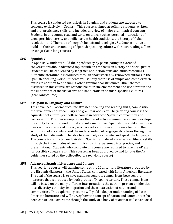This course is conducted exclusively in Spanish, and students are expected to converse exclusively in Spanish. This course is aimed at refining students' written and oral proficiency skills, and includes a review of major grammatical concepts. Students in this course read and write on topics such as personal interactions of teenagers, biodiversity and millenarium health traditions, the history of Cuban revolution, and The value of people's beliefs and ideologies. Students continue to build on their understanding of Spanish-speaking culture with short readings, films or songs. (Year-long course)

#### **SP5 Spanish V**

In Spanish V, students build their proficiency by participating in extended conversations about advanced topics with an emphasis on history and social justice. Students will be challenged by lengthier non-fiction texts and audio recordings. Authentic literature is introduced through short stories by renowned authors in the Spanish-speaking world. Students will solidify their use of simple and complex verb tenses in addition to fine tuning other grammatical structures. Other themes discussed in this course are responsible tourism, environment and use of water, and the importance of the visual arts and handicrafts in Spanish-speaking cultures. (Year-long course)

#### **SP7 AP Spanish Language and Culture**

This Advanced Placement course stresses speaking and reading skills, composition, the development of vocabulary and grammar accuracy. The yearlong course is the equivalent of a third-year college course in advanced Spanish composition and conversation. The course emphasizes the use of active communication and develops the ability to comprehend formal and informal spoken Spanish; the ability to express ideas with accuracy and fluency is a necessity at this level. Students focus on the acquisition of vocabulary and the understanding of language structures through the study of thematic units to be able to effectively read, write, and speak the language. The course is conducted exclusively in Spanish, and develops advanced literacy skills through the three modes of communication: interpersonal, interpretive, and presentational. Students who complete this course are required to take the AP exam for possible college credit. This course has been approved by and follows the AP guidelines stated by the CollegeBoard. (Year-long course)

#### **SP8 Advanced Spanish Literature and Culture**

This yearlong course will examine some of the 20th century literature produced by the Hispanic diaspora in the United States, compared with Latin-American literature. The goal of the course is to have students generate comparisons between the literature that is produced by both groups of Hispanic writers. These comparisons will be based on the many different interpretations the authors present on identity, race, diversity, ethnicity, immigration and the construction of nations and communities. This exploratory course will yield a deeper understanding of Latin American literature and will survey how the concept of nation and communities has been constructed over time through the study of a body of texts that will cover social